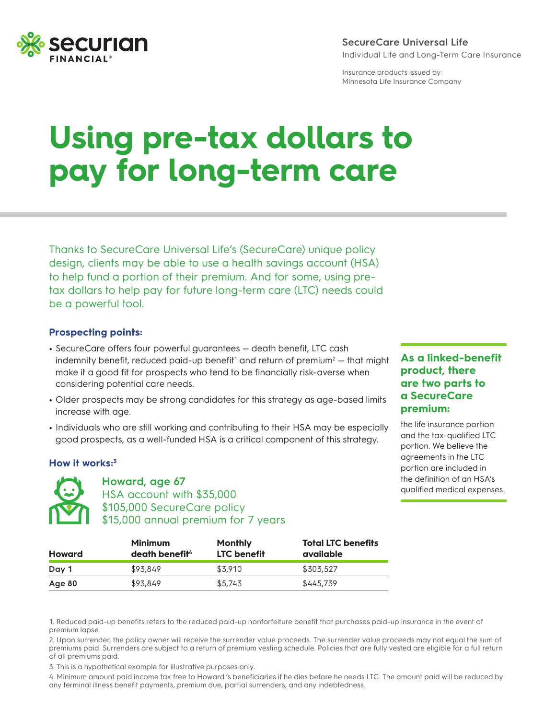

#### **SecureCare Universal Life** Individual Life and Long-Term Care Insurance

Insurance products issued by: Minnesota Life Insurance Company

# **Using pre-tax dollars to pay for long-term care**

Thanks to SecureCare Universal Life's (SecureCare) unique policy design, clients may be able to use a health savings account (HSA) to help fund a portion of their premium. And for some, using pretax dollars to help pay for future long-term care (LTC) needs could be a powerful tool.

#### **Prospecting points:**

- **•** SecureCare offers four powerful guarantees death benefit, LTC cash indemnity benefit, reduced paid-up benefit<sup>1</sup> and return of premium<sup>2</sup>  $-$  that might make it a good fit for prospects who tend to be financially risk-averse when considering potential care needs.
- **•** Older prospects may be strong candidates for this strategy as age-based limits increase with age.
- **•** Individuals who are still working and contributing to their HSA may be especially good prospects, as a well-funded HSA is a critical component of this strategy.

#### **How it works:3**



**Howard, age 67** HSA account with \$35,000 \$105,000 SecureCare policy \$15,000 annual premium for 7 years

### **As a linked-benefit product, there are two parts to a SecureCare premium:**

the life insurance portion and the tax-qualified LTC portion. We believe the agreements in the LTC portion are included in the definition of an HSA's qualified medical expenses.

| Howard | <b>Minimum</b><br>death benefit <sup>4</sup> | Monthly<br><b>LTC</b> benefit | <b>Total LTC benefits</b><br>available |
|--------|----------------------------------------------|-------------------------------|----------------------------------------|
| Day 1  | \$93.849                                     | \$3,910                       | \$303,527                              |
| Age 80 | \$93,849                                     | \$5.743                       | \$445,739                              |

1. Reduced paid-up benefits refers to the reduced paid-up nonforfeiture benefit that purchases paid-up insurance in the event of premium lapse.

2. Upon surrender, the policy owner will receive the surrender value proceeds. The surrender value proceeds may not equal the sum of premiums paid. Surrenders are subject to a return of premium vesting schedule. Policies that are fully vested are eligible for a full return of all premiums paid.

3. This is a hypothetical example for illustrative purposes only.

4. Minimum amount paid income tax free to Howard 's beneficiaries if he dies before he needs LTC. The amount paid will be reduced by any terminal illness benefit payments, premium due, partial surrenders, and any indebtedness.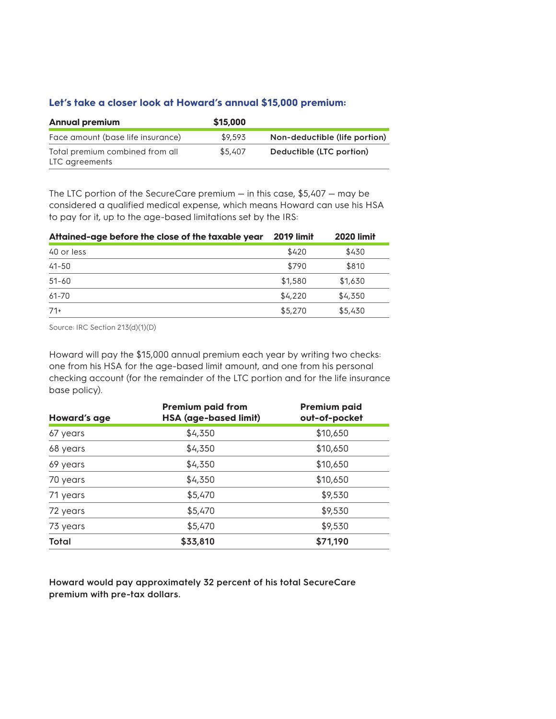#### **Let's take a closer look at Howard's annual \$15,000 premium:**

| <b>Annual premium</b>                             | \$15,000 |                               |
|---------------------------------------------------|----------|-------------------------------|
| Face amount (base life insurance)                 | \$9.593  | Non-deductible (life portion) |
| Total premium combined from all<br>LTC agreements | \$5,407  | Deductible (LTC portion)      |

The LTC portion of the SecureCare premium — in this case, \$5,407 — may be considered a qualified medical expense, which means Howard can use his HSA to pay for it, up to the age-based limitations set by the IRS:

| Attained-age before the close of the taxable year | <b>2019 limit</b> | <b>2020 limit</b> |
|---------------------------------------------------|-------------------|-------------------|
| 40 or less                                        | \$420             | \$430             |
| $41 - 50$                                         | \$790             | \$810             |
| $51 - 60$                                         | \$1,580           | \$1,630           |
| 61-70                                             | \$4,220           | \$4,350           |
| $71+$                                             | \$5,270           | \$5,430           |

Source: IRC Section 213(d)(1)(D)

Howard will pay the \$15,000 annual premium each year by writing two checks: one from his HSA for the age-based limit amount, and one from his personal checking account (for the remainder of the LTC portion and for the life insurance base policy).

| <b>Howard's age</b> | <b>Premium paid from</b><br><b>HSA</b> (age-based limit) | <b>Premium paid</b><br>out-of-pocket |  |
|---------------------|----------------------------------------------------------|--------------------------------------|--|
| 67 years            | \$4,350                                                  | \$10,650                             |  |
| 68 years            | \$4,350                                                  | \$10,650                             |  |
| 69 years            | \$4,350                                                  | \$10,650                             |  |
| 70 years            | \$4,350                                                  | \$10,650                             |  |
| 71 years            | \$5,470                                                  | \$9,530                              |  |
| 72 years            | \$5,470                                                  | \$9,530                              |  |
| 73 years            | \$5,470                                                  | \$9,530                              |  |
| Total               | \$33,810                                                 | \$71,190                             |  |

**Howard would pay approximately 32 percent of his total SecureCare premium with pre-tax dollars.**